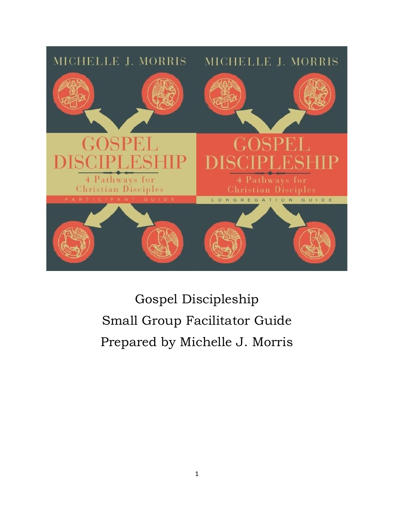

# Gospel Discipleship Small Group Facilitator Guide Prepared by Michelle J. Morris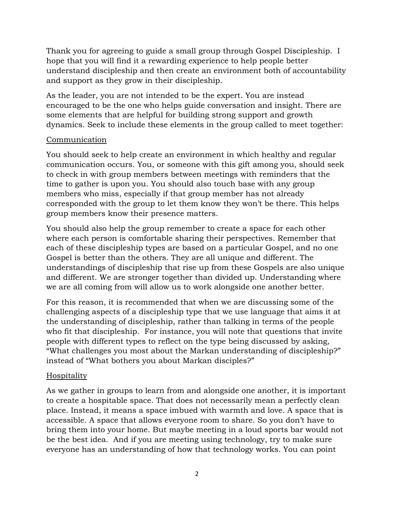Thank you for agreeing to guide a small group through Gospel Discipleship. I hope that you will find it a rewarding experience to help people better understand discipleship and then create an environment both of accountability and support as they grow in their discipleship.

As the leader, you are not intended to be the expert. You are instead encouraged to be the one who helps guide conversation and insight. There are some elements that are helpful for building strong support and growth dynamics. Seek to include these elements in the group called to meet together:

#### Communication

You should seek to help create an environment in which healthy and regular communication occurs. You, or someone with this gift among you, should seek to check in with group members between meetings with reminders that the time to gather is upon you. You should also touch base with any group members who miss, especially if that group member has not already corresponded with the group to let them know they won't be there. This helps group members know their presence matters.

You should also help the group remember to create a space for each other where each person is comfortable sharing their perspectives. Remember that each of these discipleship types are based on a particular Gospel, and no one Gospel is better than the others. They are all unique and different. The understandings of discipleship that rise up from these Gospels are also unique and different. We are stronger together than divided up. Understanding where we are all coming from will allow us to work alongside one another better.

For this reason, it is recommended that when we are discussing some of the challenging aspects of a discipleship type that we use language that aims it at the understanding of discipleship, rather than talking in terms of the people who fit that discipleship. For instance, you will note that questions that invite people with different types to reflect on the type being discussed by asking, "What challenges you most about the Markan understanding of discipleship?" instead of "What bothers you about Markan disciples?"

#### Hospitality

As we gather in groups to learn from and alongside one another, it is important to create a hospitable space. That does not necessarily mean a perfectly clean place. Instead, it means a space imbued with warmth and love. A space that is accessible. A space that allows everyone room to share. So you don't have to bring them into your home. But maybe meeting in a loud sports bar would not be the best idea. And if you are meeting using technology, try to make sure everyone has an understanding of how that technology works. You can point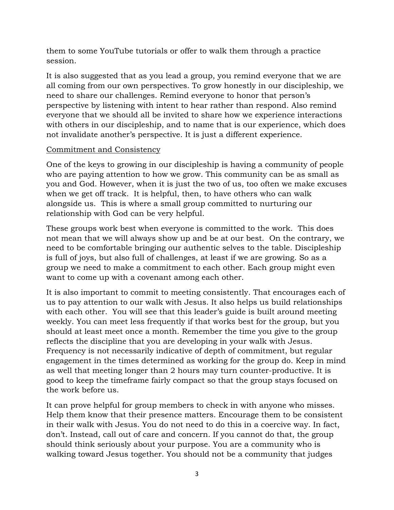them to some YouTube tutorials or offer to walk them through a practice session.

It is also suggested that as you lead a group, you remind everyone that we are all coming from our own perspectives. To grow honestly in our discipleship, we need to share our challenges. Remind everyone to honor that person's perspective by listening with intent to hear rather than respond. Also remind everyone that we should all be invited to share how we experience interactions with others in our discipleship, and to name that is our experience, which does not invalidate another's perspective. It is just a different experience.

#### Commitment and Consistency

One of the keys to growing in our discipleship is having a community of people who are paying attention to how we grow. This community can be as small as you and God. However, when it is just the two of us, too often we make excuses when we get off track. It is helpful, then, to have others who can walk alongside us. This is where a small group committed to nurturing our relationship with God can be very helpful.

These groups work best when everyone is committed to the work. This does not mean that we will always show up and be at our best. On the contrary, we need to be comfortable bringing our authentic selves to the table. Discipleship is full of joys, but also full of challenges, at least if we are growing. So as a group we need to make a commitment to each other. Each group might even want to come up with a covenant among each other.

It is also important to commit to meeting consistently. That encourages each of us to pay attention to our walk with Jesus. It also helps us build relationships with each other. You will see that this leader's guide is built around meeting weekly. You can meet less frequently if that works best for the group, but you should at least meet once a month. Remember the time you give to the group reflects the discipline that you are developing in your walk with Jesus. Frequency is not necessarily indicative of depth of commitment, but regular engagement in the times determined as working for the group do. Keep in mind as well that meeting longer than 2 hours may turn counter-productive. It is good to keep the timeframe fairly compact so that the group stays focused on the work before us.

It can prove helpful for group members to check in with anyone who misses. Help them know that their presence matters. Encourage them to be consistent in their walk with Jesus. You do not need to do this in a coercive way. In fact, don't. Instead, call out of care and concern. If you cannot do that, the group should think seriously about your purpose. You are a community who is walking toward Jesus together. You should not be a community that judges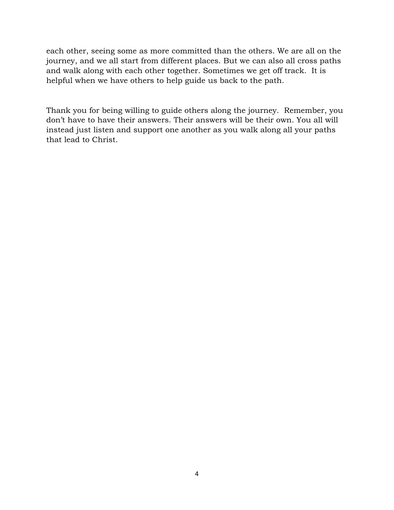each other, seeing some as more committed than the others. We are all on the journey, and we all start from different places. But we can also all cross paths and walk along with each other together. Sometimes we get off track. It is helpful when we have others to help guide us back to the path.

Thank you for being willing to guide others along the journey. Remember, you don't have to have their answers. Their answers will be their own. You all will instead just listen and support one another as you walk along all your paths that lead to Christ.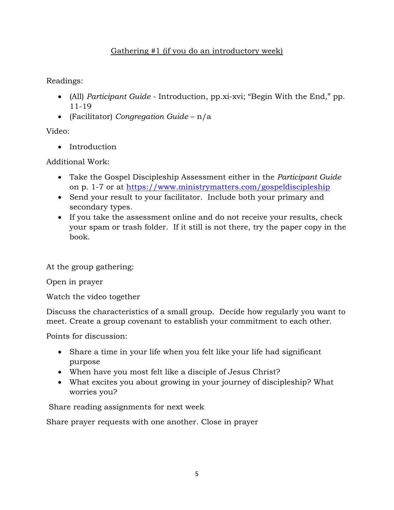# Gathering #1 (if you do an introductory week)

Readings:

- (All) *Participant Guide*  Introduction, pp.xi-xvi; "Begin With the End," pp. 11-19
- (Facilitator) *Congregation Guide* n/a

Video:

• Introduction

Additional Work:

- Take the Gospel Discipleship Assessment either in the *Participant Guide* on p. 1-7 or at<https://www.ministrymatters.com/gospeldiscipleship>
- Send your result to your facilitator. Include both your primary and secondary types.
- If you take the assessment online and do not receive your results, check your spam or trash folder. If it still is not there, try the paper copy in the book.

At the group gathering:

Open in prayer

Watch the video together

Discuss the characteristics of a small group. Decide how regularly you want to meet. Create a group covenant to establish your commitment to each other.

Points for discussion:

- Share a time in your life when you felt like your life had significant purpose
- When have you most felt like a disciple of Jesus Christ?
- What excites you about growing in your journey of discipleship? What worries you?

Share reading assignments for next week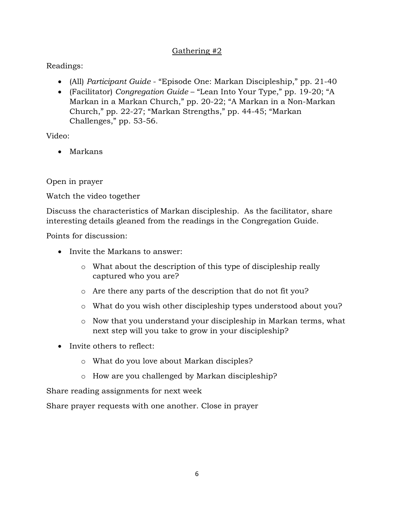# Readings:

- (All) *Participant Guide*  "Episode One: Markan Discipleship," pp. 21-40
- (Facilitator) *Congregation Guide* "Lean Into Your Type," pp. 19-20; "A Markan in a Markan Church," pp. 20-22; "A Markan in a Non-Markan Church," pp. 22-27; "Markan Strengths," pp. 44-45; "Markan Challenges," pp. 53-56.

Video:

• Markans

Open in prayer

Watch the video together

Discuss the characteristics of Markan discipleship. As the facilitator, share interesting details gleaned from the readings in the Congregation Guide.

Points for discussion:

- Invite the Markans to answer:
	- o What about the description of this type of discipleship really captured who you are?
	- o Are there any parts of the description that do not fit you?
	- o What do you wish other discipleship types understood about you?
	- o Now that you understand your discipleship in Markan terms, what next step will you take to grow in your discipleship?
- Invite others to reflect:
	- o What do you love about Markan disciples?
	- o How are you challenged by Markan discipleship?

Share reading assignments for next week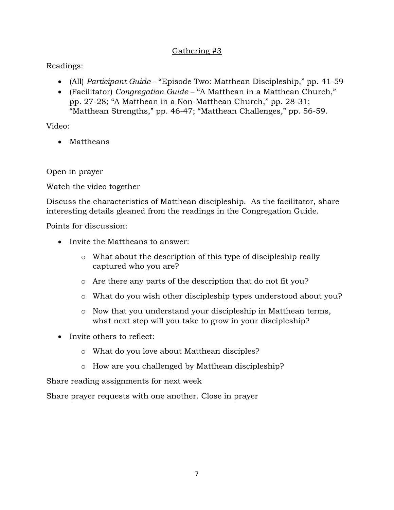# Readings:

- (All) *Participant Guide*  "Episode Two: Matthean Discipleship," pp. 41-59
- (Facilitator) *Congregation Guide* "A Matthean in a Matthean Church," pp. 27-28; "A Matthean in a Non-Matthean Church," pp. 28-31; "Matthean Strengths," pp. 46-47; "Matthean Challenges," pp. 56-59.

Video:

• Mattheans

Open in prayer

Watch the video together

Discuss the characteristics of Matthean discipleship. As the facilitator, share interesting details gleaned from the readings in the Congregation Guide.

Points for discussion:

- Invite the Mattheans to answer:
	- o What about the description of this type of discipleship really captured who you are?
	- o Are there any parts of the description that do not fit you?
	- o What do you wish other discipleship types understood about you?
	- o Now that you understand your discipleship in Matthean terms, what next step will you take to grow in your discipleship?
- Invite others to reflect:
	- o What do you love about Matthean disciples?
	- o How are you challenged by Matthean discipleship?

Share reading assignments for next week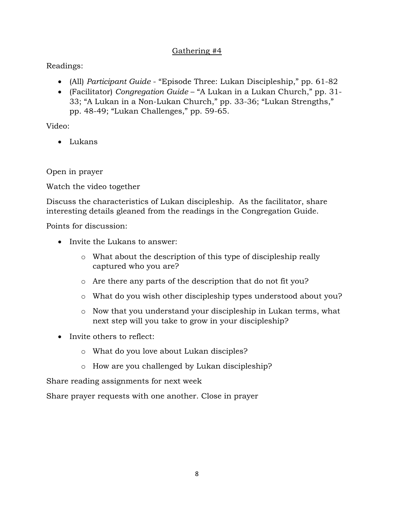Readings:

- (All) *Participant Guide*  "Episode Three: Lukan Discipleship," pp. 61-82
- (Facilitator) *Congregation Guide* "A Lukan in a Lukan Church," pp. 31- 33; "A Lukan in a Non-Lukan Church," pp. 33-36; "Lukan Strengths," pp. 48-49; "Lukan Challenges," pp. 59-65.

Video:

• Lukans

Open in prayer

Watch the video together

Discuss the characteristics of Lukan discipleship. As the facilitator, share interesting details gleaned from the readings in the Congregation Guide.

Points for discussion:

- Invite the Lukans to answer:
	- o What about the description of this type of discipleship really captured who you are?
	- o Are there any parts of the description that do not fit you?
	- o What do you wish other discipleship types understood about you?
	- o Now that you understand your discipleship in Lukan terms, what next step will you take to grow in your discipleship?
- Invite others to reflect:
	- o What do you love about Lukan disciples?
	- o How are you challenged by Lukan discipleship?

Share reading assignments for next week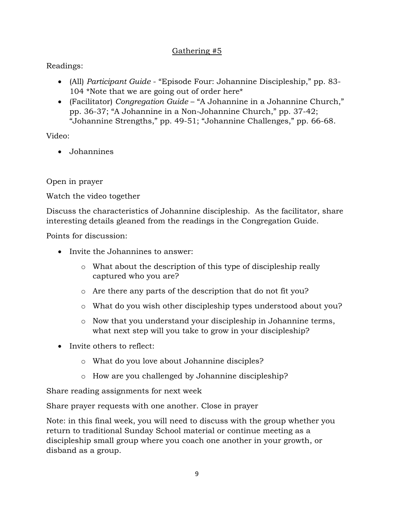### Readings:

- (All) *Participant Guide*  "Episode Four: Johannine Discipleship," pp. 83- 104 \*Note that we are going out of order here\*
- (Facilitator) *Congregation Guide* "A Johannine in a Johannine Church," pp. 36-37; "A Johannine in a Non-Johannine Church," pp. 37-42; "Johannine Strengths," pp. 49-51; "Johannine Challenges," pp. 66-68.

Video:

• Johannines

Open in prayer

Watch the video together

Discuss the characteristics of Johannine discipleship. As the facilitator, share interesting details gleaned from the readings in the Congregation Guide.

Points for discussion:

- Invite the Johannines to answer:
	- o What about the description of this type of discipleship really captured who you are?
	- o Are there any parts of the description that do not fit you?
	- o What do you wish other discipleship types understood about you?
	- o Now that you understand your discipleship in Johannine terms, what next step will you take to grow in your discipleship?
- Invite others to reflect:
	- o What do you love about Johannine disciples?
	- o How are you challenged by Johannine discipleship?

Share reading assignments for next week

Share prayer requests with one another. Close in prayer

Note: in this final week, you will need to discuss with the group whether you return to traditional Sunday School material or continue meeting as a discipleship small group where you coach one another in your growth, or disband as a group.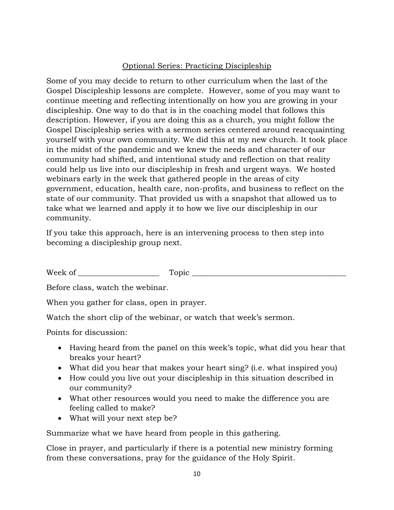### Optional Series: Practicing Discipleship

Some of you may decide to return to other curriculum when the last of the Gospel Discipleship lessons are complete. However, some of you may want to continue meeting and reflecting intentionally on how you are growing in your discipleship. One way to do that is in the coaching model that follows this description. However, if you are doing this as a church, you might follow the Gospel Discipleship series with a sermon series centered around reacquainting yourself with your own community. We did this at my new church. It took place in the midst of the pandemic and we knew the needs and character of our community had shifted, and intentional study and reflection on that reality could help us live into our discipleship in fresh and urgent ways. We hosted webinars early in the week that gathered people in the areas of city government, education, health care, non-profits, and business to reflect on the state of our community. That provided us with a snapshot that allowed us to take what we learned and apply it to how we live our discipleship in our community.

If you take this approach, here is an intervening process to then step into becoming a discipleship group next.

Week of \_\_\_\_\_\_\_\_\_\_\_\_\_\_\_\_\_\_\_\_\_ Topic \_\_\_\_\_\_\_\_\_\_\_\_\_\_\_\_\_\_\_\_\_\_\_\_\_\_\_\_\_\_\_\_\_\_\_\_\_\_\_\_

Before class, watch the webinar.

When you gather for class, open in prayer.

Watch the short clip of the webinar, or watch that week's sermon.

Points for discussion:

- Having heard from the panel on this week's topic, what did you hear that breaks your heart?
- What did you hear that makes your heart sing? (i.e. what inspired you)
- How could you live out your discipleship in this situation described in our community?
- What other resources would you need to make the difference you are feeling called to make?
- What will your next step be?

Summarize what we have heard from people in this gathering.

Close in prayer, and particularly if there is a potential new ministry forming from these conversations, pray for the guidance of the Holy Spirit.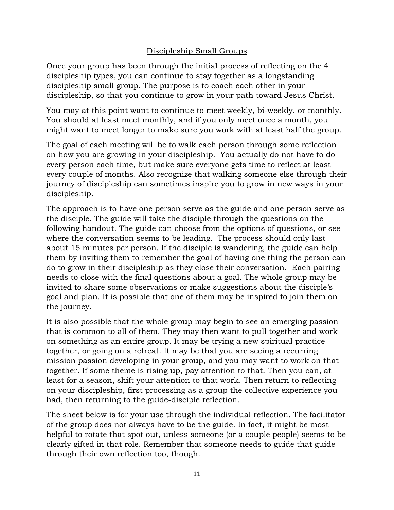#### Discipleship Small Groups

Once your group has been through the initial process of reflecting on the 4 discipleship types, you can continue to stay together as a longstanding discipleship small group. The purpose is to coach each other in your discipleship, so that you continue to grow in your path toward Jesus Christ.

You may at this point want to continue to meet weekly, bi-weekly, or monthly. You should at least meet monthly, and if you only meet once a month, you might want to meet longer to make sure you work with at least half the group.

The goal of each meeting will be to walk each person through some reflection on how you are growing in your discipleship. You actually do not have to do every person each time, but make sure everyone gets time to reflect at least every couple of months. Also recognize that walking someone else through their journey of discipleship can sometimes inspire you to grow in new ways in your discipleship.

The approach is to have one person serve as the guide and one person serve as the disciple. The guide will take the disciple through the questions on the following handout. The guide can choose from the options of questions, or see where the conversation seems to be leading. The process should only last about 15 minutes per person. If the disciple is wandering, the guide can help them by inviting them to remember the goal of having one thing the person can do to grow in their discipleship as they close their conversation. Each pairing needs to close with the final questions about a goal. The whole group may be invited to share some observations or make suggestions about the disciple's goal and plan. It is possible that one of them may be inspired to join them on the journey.

It is also possible that the whole group may begin to see an emerging passion that is common to all of them. They may then want to pull together and work on something as an entire group. It may be trying a new spiritual practice together, or going on a retreat. It may be that you are seeing a recurring mission passion developing in your group, and you may want to work on that together. If some theme is rising up, pay attention to that. Then you can, at least for a season, shift your attention to that work. Then return to reflecting on your discipleship, first processing as a group the collective experience you had, then returning to the guide-disciple reflection.

The sheet below is for your use through the individual reflection. The facilitator of the group does not always have to be the guide. In fact, it might be most helpful to rotate that spot out, unless someone (or a couple people) seems to be clearly gifted in that role. Remember that someone needs to guide that guide through their own reflection too, though.